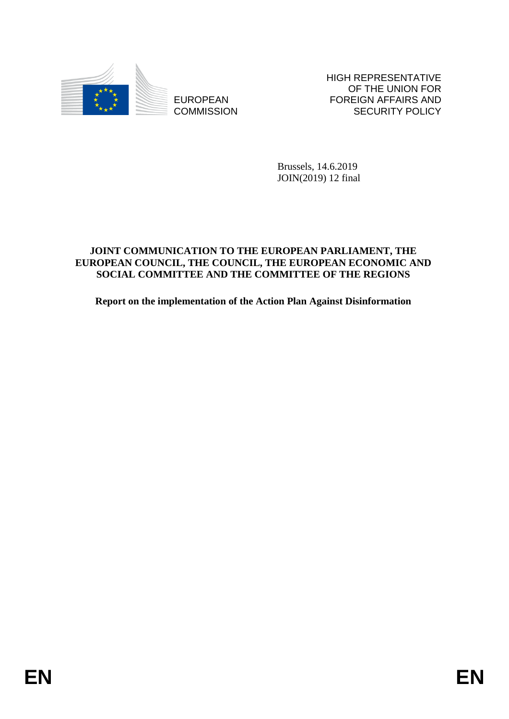

**COMMISSION** 

HIGH REPRESENTATIVE OF THE UNION FOR FOREIGN AFFAIRS AND SECURITY POLICY

Brussels, 14.6.2019 JOIN(2019) 12 final

# EUROPEAN FOREIGN FIRE SCURITY POLICY<br>
EUROPEAN FORMATSION<br>
Brussels, 14.6.2019<br>
Brussels, 14.6.2019<br>
BRUSS (2016)<br>
BRUSS (2016)<br>
BRUSS (2016)<br>
ENR INTERNATIONAL CONSITER AND THE CONSITTIEE OF THE REGIONS<br>
Report on the imp **JOINT COMMUNICATION TO THE EUROPEAN PARLIAMENT, THE EUROPEAN COUNCIL, THE COUNCIL, THE EUROPEAN ECONOMIC AND SOCIAL COMMITTEE AND THE COMMITTEE OF THE REGIONS**

**Report on the implementation of the Action Plan Against Disinformation**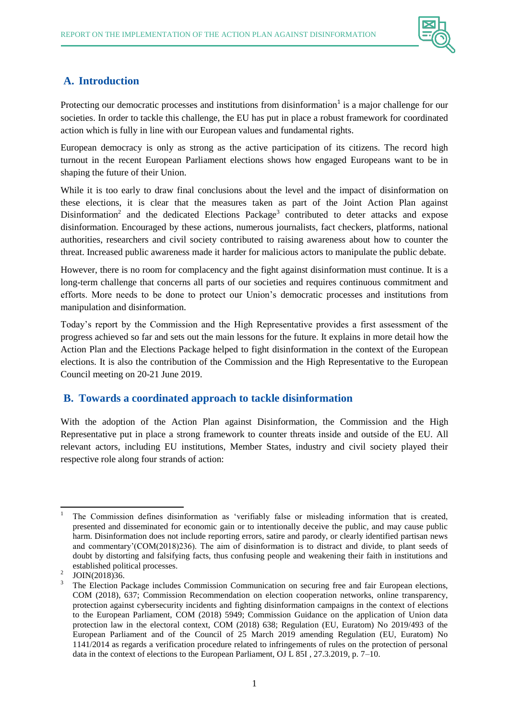

# **A. Introduction**

Protecting our democratic processes and institutions from disinformation<sup>1</sup> is a major challenge for our societies. In order to tackle this challenge, the EU has put in place a robust framework for coordinated action which is fully in line with our European values and fundamental rights.

European democracy is only as strong as the active participation of its citizens. The record high turnout in the recent European Parliament elections shows how engaged Europeans want to be in shaping the future of their Union.

While it is too early to draw final conclusions about the level and the impact of disinformation on these elections, it is clear that the measures taken as part of the Joint Action Plan against Disinformation<sup>2</sup> and the dedicated Elections Package<sup>3</sup> contributed to deter attacks and expose disinformation. Encouraged by these actions, numerous journalists, fact checkers, platforms, national authorities, researchers and civil society contributed to raising awareness about how to counter the threat. Increased public awareness made it harder for malicious actors to manipulate the public debate.

However, there is no room for complacency and the fight against disinformation must continue. It is a long-term challenge that concerns all parts of our societies and requires continuous commitment and efforts. More needs to be done to protect our Union's democratic processes and institutions from manipulation and disinformation.

Today's report by the Commission and the High Representative provides a first assessment of the progress achieved so far and sets out the main lessons for the future. It explains in more detail how the Action Plan and the Elections Package helped to fight disinformation in the context of the European elections. It is also the contribution of the Commission and the High Representative to the European Council meeting on 20-21 June 2019.

### **B. Towards a coordinated approach to tackle disinformation**

With the adoption of the Action Plan against Disinformation, the Commission and the High Representative put in place a strong framework to counter threats inside and outside of the EU. All relevant actors, including EU institutions, Member States, industry and civil society played their respective role along four strands of action:

 $\overline{\phantom{a}}$ <sup>1</sup> The Commission defines disinformation as 'verifiably false or misleading information that is created, presented and disseminated for economic gain or to intentionally deceive the public, and may cause public harm. Disinformation does not include reporting errors, satire and parody, or clearly identified partisan news and commentary'(COM(2018)236). The aim of disinformation is to distract and divide, to plant seeds of doubt by distorting and falsifying facts, thus confusing people and weakening their faith in institutions and established political processes.

<sup>2</sup> JOIN(2018)36.

<sup>&</sup>lt;sup>3</sup> The Election Package includes Commission Communication on securing free and fair European elections, COM (2018), 637; Commission Recommendation on election cooperation networks, online transparency, protection against cybersecurity incidents and fighting disinformation campaigns in the context of elections to the European Parliament, COM (2018) 5949; Commission Guidance on the application of Union data protection law in the electoral context, COM (2018) 638; Regulation (EU, Euratom) No 2019/493 of the European Parliament and of the Council of 25 March 2019 amending Regulation (EU, Euratom) No 1141/2014 as regards a verification procedure related to infringements of rules on the protection of personal data in the context of elections to the European Parliament, OJ L 85I , 27.3.2019, p. 7–10.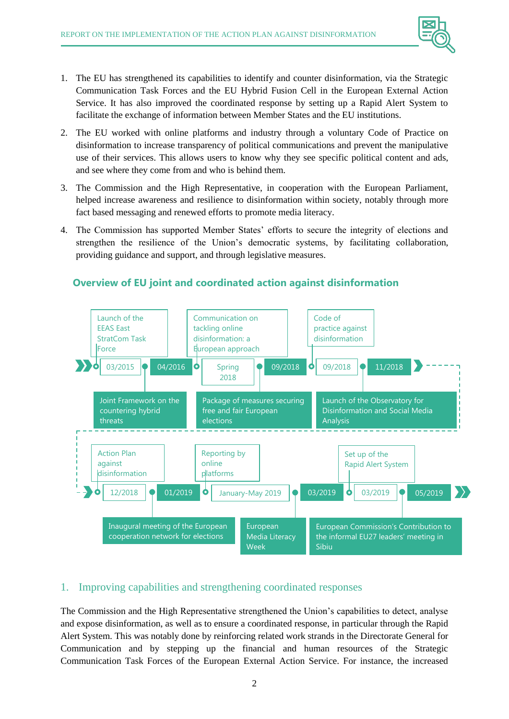

- 1. The EU has strengthened its capabilities to identify and counter disinformation, via the Strategic Communication Task Forces and the EU Hybrid Fusion Cell in the European External Action Service. It has also improved the coordinated response by setting up a Rapid Alert System to facilitate the exchange of information between Member States and the EU institutions.
- 2. The EU worked with online platforms and industry through a voluntary Code of Practice on disinformation to increase transparency of political communications and prevent the manipulative use of their services. This allows users to know why they see specific political content and ads, and see where they come from and who is behind them.
- 3. The Commission and the High Representative, in cooperation with the European Parliament, helped increase awareness and resilience to disinformation within society, notably through more fact based messaging and renewed efforts to promote media literacy.
- 4. The Commission has supported Member States' efforts to secure the integrity of elections and strengthen the resilience of the Union's democratic systems, by facilitating collaboration, providing guidance and support, and through legislative measures.



# **Overview of EU joint and coordinated action against disinformation**

### 1. Improving capabilities and strengthening coordinated responses

The Commission and the High Representative strengthened the Union's capabilities to detect, analyse and expose disinformation, as well as to ensure a coordinated response, in particular through the Rapid Alert System. This was notably done by reinforcing related work strands in the Directorate General for Communication and by stepping up the financial and human resources of the Strategic Communication Task Forces of the European External Action Service. For instance, the increased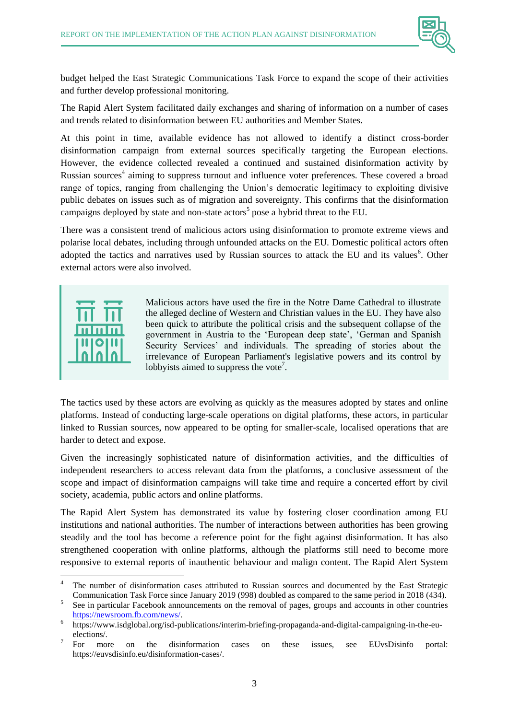

budget helped the East Strategic Communications Task Force to expand the scope of their activities and further develop professional monitoring.

The Rapid Alert System facilitated daily exchanges and sharing of information on a number of cases and trends related to disinformation between EU authorities and Member States.

At this point in time, available evidence has not allowed to identify a distinct cross-border disinformation campaign from external sources specifically targeting the European elections. However, the evidence collected revealed a continued and sustained disinformation activity by Russian sources<sup>4</sup> aiming to suppress turnout and influence voter preferences. These covered a broad range of topics, ranging from challenging the Union's democratic legitimacy to exploiting divisive public debates on issues such as of migration and sovereignty. This confirms that the disinformation campaigns deployed by state and non-state actors<sup>5</sup> pose a hybrid threat to the EU.

There was a consistent trend of malicious actors using disinformation to promote extreme views and polarise local debates, including through unfounded attacks on the EU. Domestic political actors often adopted the tactics and narratives used by Russian sources to attack the EU and its values<sup>6</sup>. Other external actors were also involved.



Malicious actors have used the fire in the Notre Dame Cathedral to illustrate the alleged decline of Western and Christian values in the EU. They have also been quick to attribute the political crisis and the subsequent collapse of the government in Austria to the 'European deep state', 'German and Spanish Security Services' and individuals. The spreading of stories about the irrelevance of European Parliament's legislative powers and its control by lobbyists aimed to suppress the vote<sup>7</sup>.

The tactics used by these actors are evolving as quickly as the measures adopted by states and online platforms. Instead of conducting large-scale operations on digital platforms, these actors, in particular linked to Russian sources, now appeared to be opting for smaller-scale, localised operations that are harder to detect and expose.

Given the increasingly sophisticated nature of disinformation activities, and the difficulties of independent researchers to access relevant data from the platforms, a conclusive assessment of the scope and impact of disinformation campaigns will take time and require a concerted effort by civil society, academia, public actors and online platforms.

The Rapid Alert System has demonstrated its value by fostering closer coordination among EU institutions and national authorities. The number of interactions between authorities has been growing steadily and the tool has become a reference point for the fight against disinformation. It has also strengthened cooperation with online platforms, although the platforms still need to become more responsive to external reports of inauthentic behaviour and malign content. The Rapid Alert System

 $\overline{\phantom{a}}$ The number of disinformation cases attributed to Russian sources and documented by the East Strategic Communication Task Force since January 2019 (998) doubled as compared to the same period in 2018 (434).

<sup>5</sup> See in particular Facebook announcements on the removal of pages, groups and accounts in other countries [https://newsroom.fb.com/news/.](https://newsroom.fb.com/news/)

<sup>6</sup> https://www.isdglobal.org/isd-publications/interim-briefing-propaganda-and-digital-campaigning-in-the-euelections/.

<sup>7</sup> For more on the disinformation cases on these issues, see EUvsDisinfo portal: https://euvsdisinfo.eu/disinformation-cases/.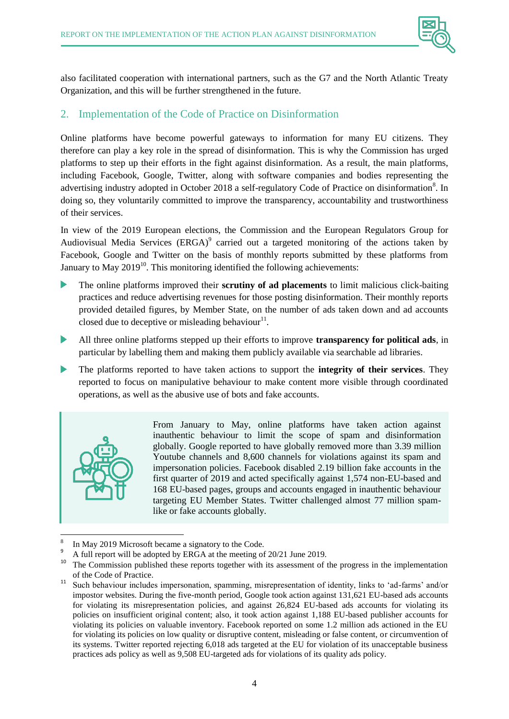

also facilitated cooperation with international partners, such as the G7 and the North Atlantic Treaty Organization, and this will be further strengthened in the future.

# 2. Implementation of the Code of Practice on Disinformation

Online platforms have become powerful gateways to information for many EU citizens. They therefore can play a key role in the spread of disinformation. This is why the Commission has urged platforms to step up their efforts in the fight against disinformation. As a result, the main platforms, including Facebook, Google, Twitter, along with software companies and bodies representing the advertising industry adopted in October 2018 a self-regulatory Code of Practice on disinformation<sup>8</sup>. In doing so, they voluntarily committed to improve the transparency, accountability and trustworthiness of their services.

In view of the 2019 European elections, the Commission and the European Regulators Group for Audiovisual Media Services (ERGA) $^9$  carried out a targeted monitoring of the actions taken by Facebook, Google and Twitter on the basis of monthly reports submitted by these platforms from January to May  $2019^{10}$ . This monitoring identified the following achievements:

- The online platforms improved their **scrutiny of ad placements** to limit malicious click-baiting practices and reduce advertising revenues for those posting disinformation. Their monthly reports provided detailed figures, by Member State, on the number of ads taken down and ad accounts closed due to deceptive or misleading behaviour $1$ <sup>11</sup>.
- All three online platforms stepped up their efforts to improve **transparency for political ads**, in particular by labelling them and making them publicly available via searchable ad libraries.
- The platforms reported to have taken actions to support the **integrity of their services**. They  $\blacktriangleright$ reported to focus on manipulative behaviour to make content more visible through coordinated operations, as well as the abusive use of bots and fake accounts.



l

From January to May, online platforms have taken action against inauthentic behaviour to limit the scope of spam and disinformation globally. Google reported to have globally removed more than 3.39 million Youtube channels and 8,600 channels for violations against its spam and impersonation policies. Facebook disabled 2.19 billion fake accounts in the first quarter of 2019 and acted specifically against 1,574 non-EU-based and 168 EU-based pages, groups and accounts engaged in inauthentic behaviour targeting EU Member States. Twitter challenged almost 77 million spamlike or fake accounts globally.

<sup>8</sup> In May 2019 Microsoft became a signatory to the Code.

 $^{9}$  A full report will be adopted by ERGA at the meeting of 20/21 June 2019.

<sup>10</sup> The Commission published these reports together with its assessment of the progress in the implementation of the Code of Practice.

<sup>&</sup>lt;sup>11</sup> Such behaviour includes impersonation, spamming, misrepresentation of identity, links to 'ad-farms' and/or impostor websites. During the five-month period, Google took action against 131,621 EU-based ads accounts for violating its misrepresentation policies, and against 26,824 EU-based ads accounts for violating its policies on insufficient original content; also, it took action against 1,188 EU-based publisher accounts for violating its policies on valuable inventory. Facebook reported on some 1.2 million ads actioned in the EU for violating its policies on low quality or disruptive content, misleading or false content, or circumvention of its systems. Twitter reported rejecting 6,018 ads targeted at the EU for violation of its unacceptable business practices ads policy as well as 9,508 EU-targeted ads for violations of its quality ads policy.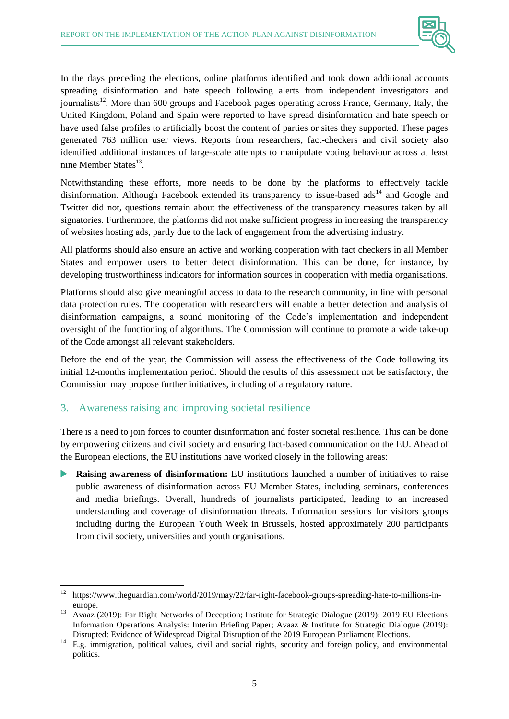

In the days preceding the elections, online platforms identified and took down additional accounts spreading disinformation and hate speech following alerts from independent investigators and journalists<sup>12</sup>. More than 600 groups and Facebook pages operating across France, Germany, Italy, the United Kingdom, Poland and Spain were reported to have spread disinformation and hate speech or have used false profiles to artificially boost the content of parties or sites they supported. These pages generated 763 million user views. Reports from researchers, fact-checkers and civil society also identified additional instances of large-scale attempts to manipulate voting behaviour across at least nine Member States<sup>13</sup>.

Notwithstanding these efforts, more needs to be done by the platforms to effectively tackle disinformation. Although Facebook extended its transparency to issue-based  $\text{ads}^{14}$  and Google and Twitter did not, questions remain about the effectiveness of the transparency measures taken by all signatories. Furthermore, the platforms did not make sufficient progress in increasing the transparency of websites hosting ads, partly due to the lack of engagement from the advertising industry.

All platforms should also ensure an active and working cooperation with fact checkers in all Member States and empower users to better detect disinformation. This can be done, for instance, by developing trustworthiness indicators for information sources in cooperation with media organisations.

Platforms should also give meaningful access to data to the research community, in line with personal data protection rules. The cooperation with researchers will enable a better detection and analysis of disinformation campaigns, a sound monitoring of the Code's implementation and independent oversight of the functioning of algorithms. The Commission will continue to promote a wide take-up of the Code amongst all relevant stakeholders.

Before the end of the year, the Commission will assess the effectiveness of the Code following its initial 12-months implementation period. Should the results of this assessment not be satisfactory, the Commission may propose further initiatives, including of a regulatory nature.

### 3. Awareness raising and improving societal resilience

There is a need to join forces to counter disinformation and foster societal resilience. This can be done by empowering citizens and civil society and ensuring fact-based communication on the EU. Ahead of the European elections, the EU institutions have worked closely in the following areas:

**Raising awareness of disinformation:** EU institutions launched a number of initiatives to raise public awareness of disinformation across EU Member States, including seminars, conferences and media briefings. Overall, hundreds of journalists participated, leading to an increased understanding and coverage of disinformation threats. Information sessions for visitors groups including during the European Youth Week in Brussels, hosted approximately 200 participants from civil society, universities and youth organisations.

 $12\,$ <sup>12</sup> https://www.theguardian.com/world/2019/may/22/far-right-facebook-groups-spreading-hate-to-millions-ineurope.

<sup>13</sup> Avaaz (2019): Far Right Networks of Deception; Institute for Strategic Dialogue (2019): 2019 EU Elections Information Operations Analysis: Interim Briefing Paper; Avaaz & Institute for Strategic Dialogue (2019): Disrupted: Evidence of Widespread Digital Disruption of the 2019 European Parliament Elections.

<sup>&</sup>lt;sup>14</sup> E.g. immigration, political values, civil and social rights, security and foreign policy, and environmental politics.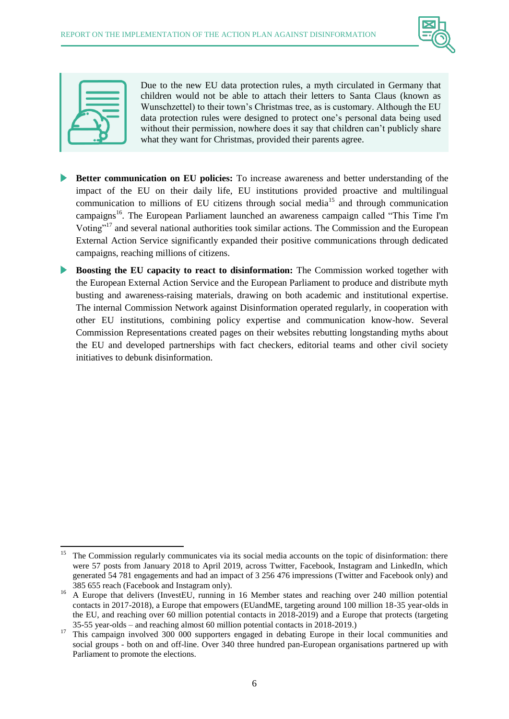



Due to the new EU data protection rules, a myth circulated in Germany that children would not be able to attach their letters to Santa Claus (known as Wunschzettel) to their town's Christmas tree, as is customary. Although the EU data protection rules were designed to protect one's personal data being used without their permission, nowhere does it say that children can't publicly share what they want for Christmas, provided their parents agree.

- **Better communication on EU policies:** To increase awareness and better understanding of the impact of the EU on their daily life, EU institutions provided proactive and multilingual communication to millions of EU citizens through social media<sup>15</sup> and through communication campaigns<sup>16</sup>. The European Parliament launched an awareness campaign called "This Time I'm Voting"<sup>17</sup> and several national authorities took similar actions. The Commission and the European External Action Service significantly expanded their positive communications through dedicated campaigns, reaching millions of citizens.
- **Boosting the EU capacity to react to disinformation:** The Commission worked together with the European External Action Service and the European Parliament to produce and distribute myth busting and awareness-raising materials, drawing on both academic and institutional expertise. The internal Commission Network against Disinformation operated regularly, in cooperation with other EU institutions, combining policy expertise and communication know-how. Several Commission Representations created pages on their websites rebutting longstanding myths about the EU and developed partnerships with fact checkers, editorial teams and other civil society initiatives to debunk disinformation.

 $\overline{\phantom{a}}$ <sup>15</sup> The Commission regularly communicates via its social media accounts on the topic of disinformation: there were 57 posts from January 2018 to April 2019, across Twitter, Facebook, Instagram and LinkedIn, which generated 54 781 engagements and had an impact of 3 256 476 impressions (Twitter and Facebook only) and 385 655 reach (Facebook and Instagram only).

<sup>&</sup>lt;sup>16</sup> A Europe that delivers (InvestEU, running in 16 Member states and reaching over 240 million potential contacts in 2017-2018), a Europe that empowers (EUandME, targeting around 100 million 18-35 year-olds in the EU, and reaching over 60 million potential contacts in 2018-2019) and a Europe that protects (targeting 35-55 year-olds – and reaching almost 60 million potential contacts in 2018-2019.)

<sup>&</sup>lt;sup>17</sup> This campaign involved 300 000 supporters engaged in debating Europe in their local communities and social groups - both on and off-line. Over 340 three hundred pan-European organisations partnered up with Parliament to promote the elections.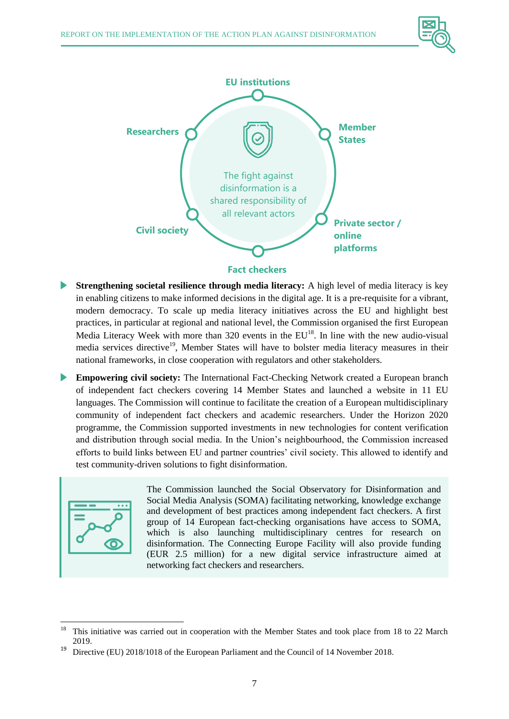



**Fact checkers**

- **Strengthening societal resilience through media literacy:** A high level of media literacy is key in enabling citizens to make informed decisions in the digital age. It is a pre-requisite for a vibrant, modern democracy. To scale up media literacy initiatives across the EU and highlight best practices, in particular at regional and national level, the Commission organised the first European Media Literacy Week with more than  $320$  events in the  $EU^{18}$ . In line with the new audio-visual media services directive<sup>19</sup>, Member States will have to bolster media literacy measures in their national frameworks, in close cooperation with regulators and other stakeholders.
- **Empowering civil society:** The International Fact-Checking Network created a European branch of independent fact checkers covering 14 Member States and launched a website in 11 EU languages. The Commission will continue to facilitate the creation of a European multidisciplinary community of independent fact checkers and academic researchers. Under the Horizon 2020 programme, the Commission supported investments in new technologies for content verification and distribution through social media. In the Union's neighbourhood, the Commission increased efforts to build links between EU and partner countries' civil society. This allowed to identify and test community-driven solutions to fight disinformation.



The Commission launched the Social Observatory for Disinformation and Social Media Analysis (SOMA) facilitating networking, knowledge exchange and development of best practices among independent fact checkers. A first group of 14 European fact-checking organisations have access to SOMA, which is also launching multidisciplinary centres for research on disinformation. The Connecting Europe Facility will also provide funding (EUR 2.5 million) for a new digital service infrastructure aimed at networking fact checkers and researchers.

<sup>18</sup> This initiative was carried out in cooperation with the Member States and took place from 18 to 22 March 2019.

<sup>&</sup>lt;sup>19</sup> Directive (EU) 2018/1018 of the European Parliament and the Council of 14 November 2018.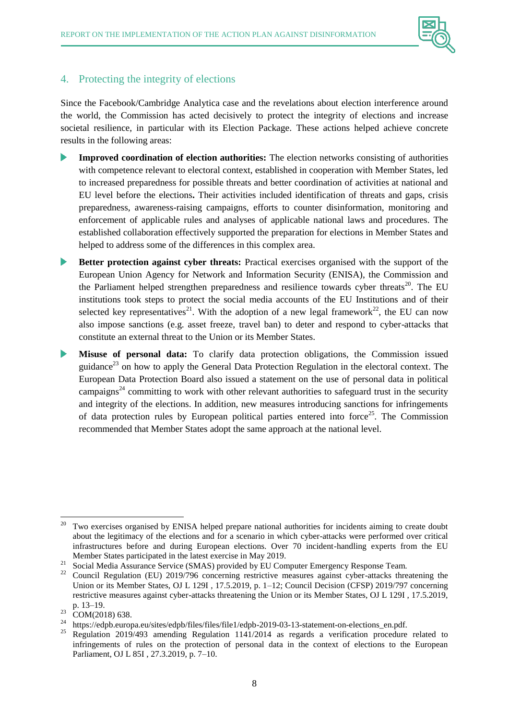

### 4. Protecting the integrity of elections

Since the Facebook/Cambridge Analytica case and the revelations about election interference around the world, the Commission has acted decisively to protect the integrity of elections and increase societal resilience, in particular with its Election Package. These actions helped achieve concrete results in the following areas:

- **Improved coordination of election authorities:** The election networks consisting of authorities with competence relevant to electoral context, established in cooperation with Member States, led to increased preparedness for possible threats and better coordination of activities at national and EU level before the elections**.** Their activities included identification of threats and gaps, crisis preparedness, awareness-raising campaigns, efforts to counter disinformation, monitoring and enforcement of applicable rules and analyses of applicable national laws and procedures. The established collaboration effectively supported the preparation for elections in Member States and helped to address some of the differences in this complex area.
- **Better protection against cyber threats:** Practical exercises organised with the support of the European Union Agency for Network and Information Security (ENISA), the Commission and the Parliament helped strengthen preparedness and resilience towards cyber threats<sup>20</sup>. The EU institutions took steps to protect the social media accounts of the EU Institutions and of their selected key representatives<sup>21</sup>. With the adoption of a new legal framework<sup>22</sup>, the EU can now also impose sanctions (e.g. asset freeze, travel ban) to deter and respond to cyber-attacks that constitute an external threat to the Union or its Member States.
- $\blacktriangleright$ **Misuse of personal data:** To clarify data protection obligations, the Commission issued guidance<sup>23</sup> on how to apply the General Data Protection Regulation in the electoral context. The European Data Protection Board also issued a statement on the use of personal data in political campaigns<sup>24</sup> committing to work with other relevant authorities to safeguard trust in the security and integrity of the elections. In addition, new measures introducing sanctions for infringements of data protection rules by European political parties entered into force<sup>25</sup>. The Commission recommended that Member States adopt the same approach at the national level.

 $\overline{\phantom{a}}$ <sup>20</sup> Two exercises organised by ENISA helped prepare national authorities for incidents aiming to create doubt about the legitimacy of the elections and for a scenario in which cyber-attacks were performed over critical infrastructures before and during European elections. Over 70 incident-handling experts from the EU Member States participated in the latest exercise in May 2019.

<sup>&</sup>lt;sup>21</sup> Social Media Assurance Service (SMAS) provided by EU Computer Emergency Response Team.

<sup>22</sup> Council Regulation (EU) 2019/796 concerning restrictive measures against cyber-attacks threatening the Union or its Member States, OJ L 129I , 17.5.2019, p. 1–12; Council Decision (CFSP) 2019/797 concerning restrictive measures against cyber-attacks threatening the Union or its Member States, OJ L 129I , 17.5.2019, p. 13–19.

 $^{23}$  COM(2018) 638.

<sup>&</sup>lt;sup>24</sup> https://edpb.europa.eu/sites/edpb/files/files/file1/edpb-2019-03-13-statement-on-elections\_en.pdf.<br><sup>25</sup> Peaulation 2010/402 emerging Peaulation 1141/2014 es magazie e varification procedure

<sup>25</sup> Regulation 2019/493 amending Regulation 1141/2014 as regards a verification procedure related to infringements of rules on the protection of personal data in the context of elections to the European Parliament, OJ L 85I , 27.3.2019, p. 7–10.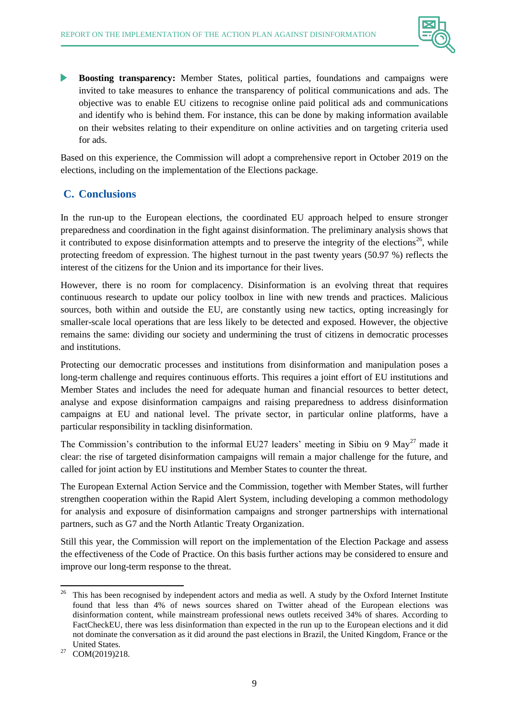

**Boosting transparency:** Member States, political parties, foundations and campaigns were invited to take measures to enhance the transparency of political communications and ads. The objective was to enable EU citizens to recognise online paid political ads and communications and identify who is behind them. For instance, this can be done by making information available on their websites relating to their expenditure on online activities and on targeting criteria used for ads.

Based on this experience, the Commission will adopt a comprehensive report in October 2019 on the elections, including on the implementation of the Elections package.

# **C. Conclusions**

In the run-up to the European elections, the coordinated EU approach helped to ensure stronger preparedness and coordination in the fight against disinformation. The preliminary analysis shows that it contributed to expose disinformation attempts and to preserve the integrity of the elections<sup>26</sup>, while protecting freedom of expression. The highest turnout in the past twenty years (50.97 %) reflects the interest of the citizens for the Union and its importance for their lives.

However, there is no room for complacency. Disinformation is an evolving threat that requires continuous research to update our policy toolbox in line with new trends and practices. Malicious sources, both within and outside the EU, are constantly using new tactics, opting increasingly for smaller-scale local operations that are less likely to be detected and exposed. However, the objective remains the same: dividing our society and undermining the trust of citizens in democratic processes and institutions.

Protecting our democratic processes and institutions from disinformation and manipulation poses a long-term challenge and requires continuous efforts. This requires a joint effort of EU institutions and Member States and includes the need for adequate human and financial resources to better detect, analyse and expose disinformation campaigns and raising preparedness to address disinformation campaigns at EU and national level. The private sector, in particular online platforms, have a particular responsibility in tackling disinformation.

The Commission's contribution to the informal EU27 leaders' meeting in Sibiu on 9 May<sup>27</sup> made it clear: the rise of targeted disinformation campaigns will remain a major challenge for the future, and called for joint action by EU institutions and Member States to counter the threat.

The European External Action Service and the Commission, together with Member States, will further strengthen cooperation within the Rapid Alert System, including developing a common methodology for analysis and exposure of disinformation campaigns and stronger partnerships with international partners, such as G7 and the North Atlantic Treaty Organization.

Still this year, the Commission will report on the implementation of the Election Package and assess the effectiveness of the Code of Practice. On this basis further actions may be considered to ensure and improve our long-term response to the threat.

<sup>26</sup> <sup>26</sup> This has been recognised by independent actors and media as well. A [study](https://comprop.oii.ox.ac.uk/wp-content/uploads/sites/93/2019/05/EU-Data-Memo.pdf) by the Oxford Internet Institute found that less than 4% of news sources shared on Twitter ahead of the European elections was disinformation content, while mainstream professional news outlets received 34% of shares. According to [FactCheckEU,](https://factcheckeu.info/en/article/fceu-newsletter-7-good-news-and-bad-news-after-election-week-end) there was less disinformation than expected in the run up to the European elections and it did not dominate the conversation as it did around the past elections in Brazil, the United Kingdom, France or the United States.

<sup>&</sup>lt;sup>27</sup> COM(2019)218.